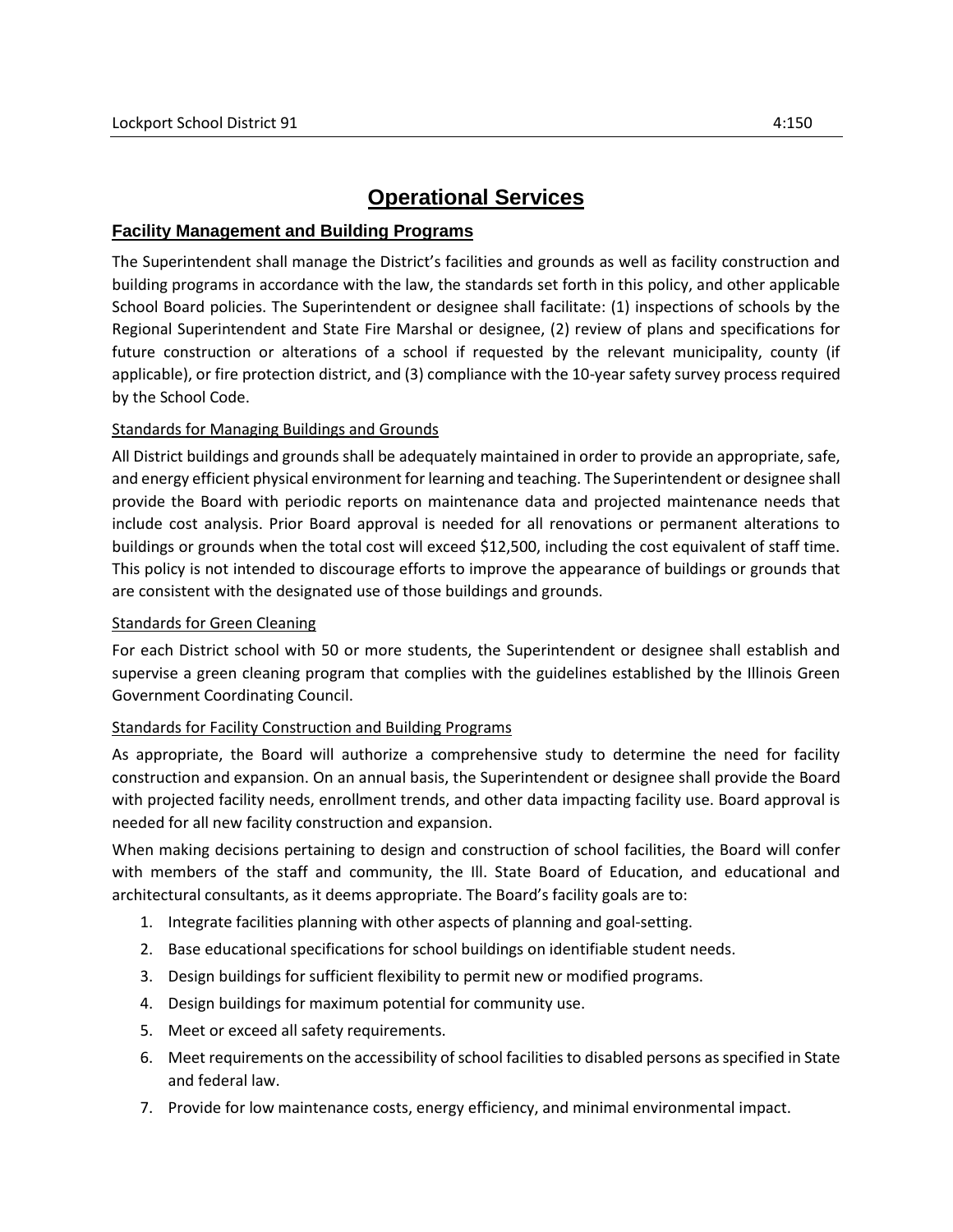# **Operational Services**

## **Facility Management and Building Programs**

The Superintendent shall manage the District's facilities and grounds as well as facility construction and building programs in accordance with the law, the standards set forth in this policy, and other applicable School Board policies. The Superintendent or designee shall facilitate: (1) inspections of schools by the Regional Superintendent and State Fire Marshal or designee, (2) review of plans and specifications for future construction or alterations of a school if requested by the relevant municipality, county (if applicable), or fire protection district, and (3) compliance with the 10-year safety survey process required by the School Code.

### Standards for Managing Buildings and Grounds

All District buildings and grounds shall be adequately maintained in order to provide an appropriate, safe, and energy efficient physical environment for learning and teaching. The Superintendent or designee shall provide the Board with periodic reports on maintenance data and projected maintenance needs that include cost analysis. Prior Board approval is needed for all renovations or permanent alterations to buildings or grounds when the total cost will exceed \$12,500, including the cost equivalent of staff time. This policy is not intended to discourage efforts to improve the appearance of buildings or grounds that are consistent with the designated use of those buildings and grounds.

### Standards for Green Cleaning

For each District school with 50 or more students, the Superintendent or designee shall establish and supervise a green cleaning program that complies with the guidelines established by the Illinois Green Government Coordinating Council.

### Standards for Facility Construction and Building Programs

As appropriate, the Board will authorize a comprehensive study to determine the need for facility construction and expansion. On an annual basis, the Superintendent or designee shall provide the Board with projected facility needs, enrollment trends, and other data impacting facility use. Board approval is needed for all new facility construction and expansion.

When making decisions pertaining to design and construction of school facilities, the Board will confer with members of the staff and community, the Ill. State Board of Education, and educational and architectural consultants, as it deems appropriate. The Board's facility goals are to:

- 1. Integrate facilities planning with other aspects of planning and goal-setting.
- 2. Base educational specifications for school buildings on identifiable student needs.
- 3. Design buildings for sufficient flexibility to permit new or modified programs.
- 4. Design buildings for maximum potential for community use.
- 5. Meet or exceed all safety requirements.
- 6. Meet requirements on the accessibility of school facilities to disabled persons as specified in State and federal law.
- 7. Provide for low maintenance costs, energy efficiency, and minimal environmental impact.